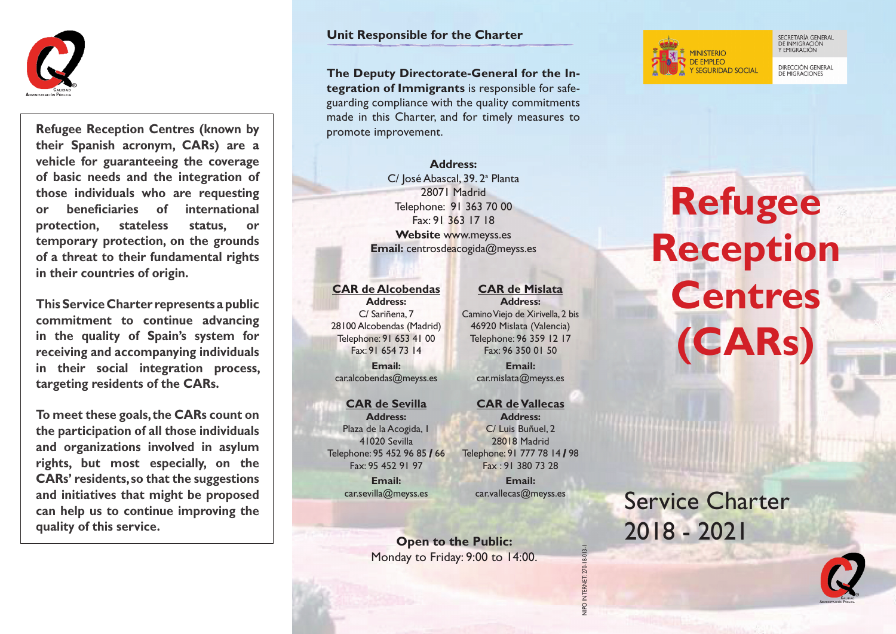

**Refugee Reception Centres (known by their Spanish acronym, CARs) are a vehicle for guaranteeing the coverage of basic needs and the integration of those individuals who are requesting or beneficiaries of international protection, stateless status, or temporary protection, on the grounds of a threat to their fundamental rights in their countries of origin.**

**This Service Charter represents a public commitment to continue advancing in the quality of Spain's system for receiving and accompanying individuals in their social integration process, targeting residents of the CARs.**

**To meet these goals, the CARs count on the participation of all those individuals and organizations involved in asylum rights, but most especially, on the CARs' residents, so that the suggestions and initiatives that might be proposed can help us to continue improving the quality of this service.** 

#### **Unit Responsible for the Charter**

**The Deputy Directorate-General for the Integration of Immigrants** is responsible for safeguarding compliance with the quality commitments made in this Charter, and for timely measures to promote improvement.

> **Address:** C/José Abascal, 39. 2ª Planta 28071 Madrid Telephone: 91 363 70 00 Fax: 91 363 17 18 **Website** www.meyss.es **Email:** centrosdeacogida@meyss.es

#### **CAR de Alcobendas**

**Address:** C/ Sariñena, 7 28100 Alcobendas (Madrid) Telephone: 91 653 41 00 Fax: 91 654 73 14 **Email:** car.alcobendas@meyss.es

#### **CAR de Sevilla**

**Address:** Plaza de la Acogida, 1 41020 Sevilla Telephone: 95 452 96 85 **/** 66 Fax: 95 452 91 97 **Email:** car.sevilla@meyss.es

#### **CAR de Mislata Address:**

Camino Viejo de Xirivella, 2 bis 46920 Mislata (Valencia) Telephone: 96 359 12 17 Fax: 96 350 01 50

**Email:** car.mislata@meyss.es

#### **CAR de Vallecas**

**Address:** C/ Luis Buñuel, 2 28018 Madrid Telephone: 91 777 78 14 **/** 98 Fax : 91 380 73 28 **Email:**

car.vallecas@meyss.es

NIPO INTERNET: 270-18-013-1

**Open to the Public:** Monday to Friday: 9:00 to 14:00.



SECRETARÍA GENERAL<br>DE INMIGRACIÓN<br>Y EMIGRACIÓN

**DIRECCIÓN GENERAL** DE MIGRACIONES

# **Refugee Reception Centres (CARs)**

Service Charter 2018 - 2021